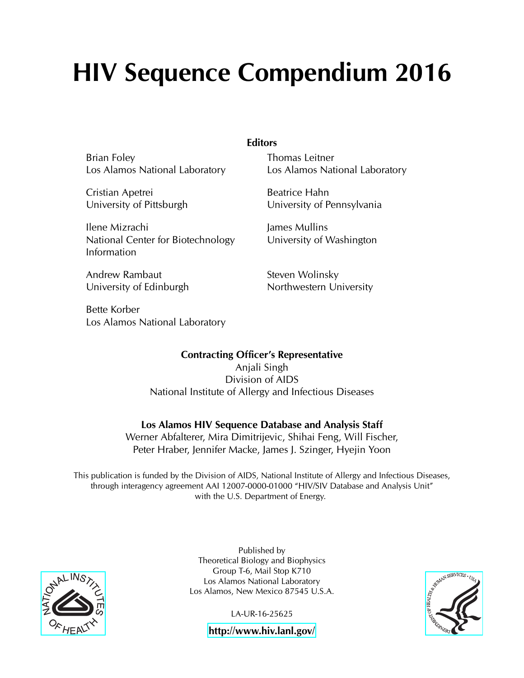# HIV Sequence Compendium 2016

Brian Foley Los Alamos National Laboratory

Cristian Apetrei University of Pittsburgh

Ilene Mizrachi National Center for Biotechnology Information

Andrew Rambaut University of Edinburgh

Bette Korber Los Alamos National Laboratory **Editors** 

Thomas Leitner Los Alamos National Laboratory

Beatrice Hahn University of Pennsylvania

James Mullins University of Washington

Steven Wolinsky Northwestern University

### Contracting Officer's Representative

Anjali Singh Division of AIDS National Institute of Allergy and Infectious Diseases

### Los Alamos HIV Sequence Database and Analysis Staff

Werner Abfalterer, Mira Dimitrijevic, Shihai Feng, Will Fischer, Peter Hraber, Jennifer Macke, James J. Szinger, Hyejin Yoon

This publication is funded by the Division of AIDS, National Institute of Allergy and Infectious Diseases, through interagency agreement AAI 12007-0000-01000 "HIV/SIV Database and Analysis Unit" with the U.S. Department of Energy.



Published by Theoretical Biology and Biophysics Group T-6, Mail Stop K710 Los Alamos National Laboratory Los Alamos, New Mexico 87545 U.S.A.

LA-UR-16-25625



<http://www.hiv.lanl.gov/>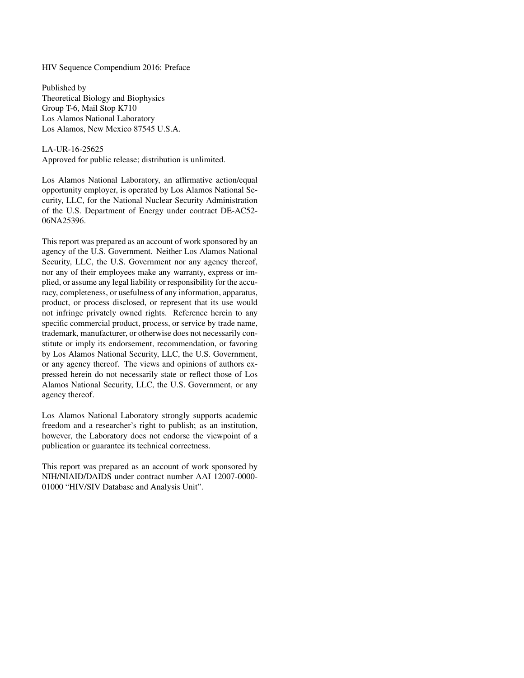HIV Sequence Compendium 2016: Preface

Published by Theoretical Biology and Biophysics Group T-6, Mail Stop K710 Los Alamos National Laboratory Los Alamos, New Mexico 87545 U.S.A.

#### LA-UR-16-25625

Approved for public release; distribution is unlimited.

Los Alamos National Laboratory, an affirmative action/equal opportunity employer, is operated by Los Alamos National Security, LLC, for the National Nuclear Security Administration of the U.S. Department of Energy under contract DE-AC52- 06NA25396.

This report was prepared as an account of work sponsored by an agency of the U.S. Government. Neither Los Alamos National Security, LLC, the U.S. Government nor any agency thereof, nor any of their employees make any warranty, express or implied, or assume any legal liability or responsibility for the accuracy, completeness, or usefulness of any information, apparatus, product, or process disclosed, or represent that its use would not infringe privately owned rights. Reference herein to any specific commercial product, process, or service by trade name, trademark, manufacturer, or otherwise does not necessarily constitute or imply its endorsement, recommendation, or favoring by Los Alamos National Security, LLC, the U.S. Government, or any agency thereof. The views and opinions of authors expressed herein do not necessarily state or reflect those of Los Alamos National Security, LLC, the U.S. Government, or any agency thereof.

Los Alamos National Laboratory strongly supports academic freedom and a researcher's right to publish; as an institution, however, the Laboratory does not endorse the viewpoint of a publication or guarantee its technical correctness.

This report was prepared as an account of work sponsored by NIH/NIAID/DAIDS under contract number AAI 12007-0000- 01000 "HIV/SIV Database and Analysis Unit".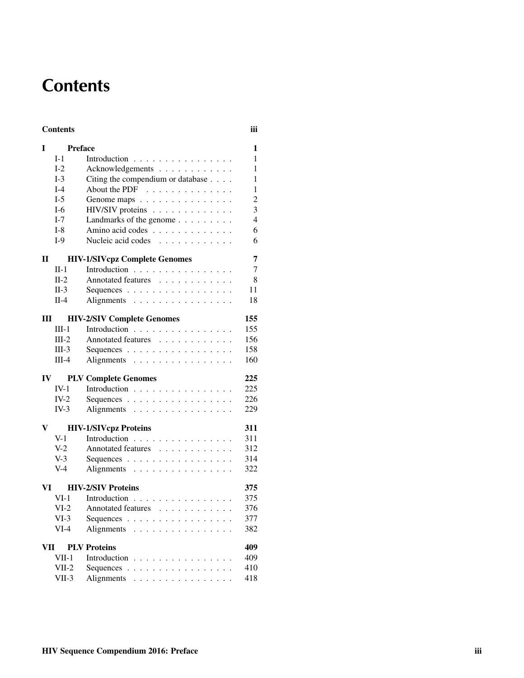# **Contents**

#### Contents iii

| I                                 | <b>Preface</b>               |                                                   | 1              |  |  |  |
|-----------------------------------|------------------------------|---------------------------------------------------|----------------|--|--|--|
|                                   | $I-1$                        | Introduction $\ldots \ldots \ldots \ldots \ldots$ | 1              |  |  |  |
|                                   | $I-2$                        | Acknowledgements                                  | $\mathbf{1}$   |  |  |  |
|                                   | $I-3$                        | Citing the compendium or database                 | 1              |  |  |  |
|                                   | $I-4$                        | About the PDF                                     | 1              |  |  |  |
|                                   | $I-5$                        | Genome maps                                       | $\overline{c}$ |  |  |  |
|                                   | $I-6$                        | HIV/SIV proteins                                  | 3              |  |  |  |
|                                   | $I-7$                        | Landmarks of the genome $\ldots \ldots \ldots$    | $\overline{4}$ |  |  |  |
|                                   | $I-8$                        | Amino acid codes                                  | 6              |  |  |  |
|                                   | $I-9$                        | Nucleic acid codes                                | 6              |  |  |  |
| П                                 |                              | <b>HIV-1/SIVcpz Complete Genomes</b>              |                |  |  |  |
|                                   | $\Pi-1$                      | Introduction                                      | 7              |  |  |  |
|                                   | $II-2$                       | Annotated features                                | 8              |  |  |  |
|                                   | $II-3$                       | Sequences                                         | 11             |  |  |  |
|                                   | $II-4$                       | Alignments                                        | 18             |  |  |  |
| Ш                                 |                              | <b>HIV-2/SIV Complete Genomes</b>                 |                |  |  |  |
|                                   | $III-1$                      | Introduction                                      | 155            |  |  |  |
|                                   | $III-2$                      | Annotated features                                | 156            |  |  |  |
|                                   | $III-3$                      | Sequences                                         | 158            |  |  |  |
|                                   | $III-4$                      | Alignments                                        | 160            |  |  |  |
| IV                                |                              | <b>PLV Complete Genomes</b>                       | 225            |  |  |  |
|                                   | $IV-1$                       | Introduction                                      | 225            |  |  |  |
|                                   | $IV-2$                       | Sequences                                         | 226            |  |  |  |
|                                   | $IV-3$                       | Alignments                                        | 229            |  |  |  |
| V                                 | <b>HIV-1/SIVcpz Proteins</b> |                                                   |                |  |  |  |
|                                   | $V-1$                        | Introduction                                      | 311            |  |  |  |
|                                   | $V-2$                        | Annotated features                                | 312            |  |  |  |
|                                   | $V-3$                        | Sequences                                         | 314            |  |  |  |
|                                   | $V-4$                        | Alignments                                        | 322            |  |  |  |
| VI                                | <b>HIV-2/SIV Proteins</b>    |                                                   |                |  |  |  |
|                                   | $VI-1$                       | Introduction                                      | 375            |  |  |  |
|                                   | $VI-2$                       | Annotated features                                | 376            |  |  |  |
|                                   | $VI-3$                       | Sequences                                         | 377            |  |  |  |
|                                   | $VI-4$                       | Alignments                                        | 382            |  |  |  |
| 409<br>VII<br><b>PLV</b> Proteins |                              |                                                   |                |  |  |  |
|                                   | $VII-1$                      | Introduction                                      | 409            |  |  |  |
|                                   | $VII-2$                      | Sequences                                         | 410            |  |  |  |
|                                   | $VII-3$                      | Alignments                                        | 418            |  |  |  |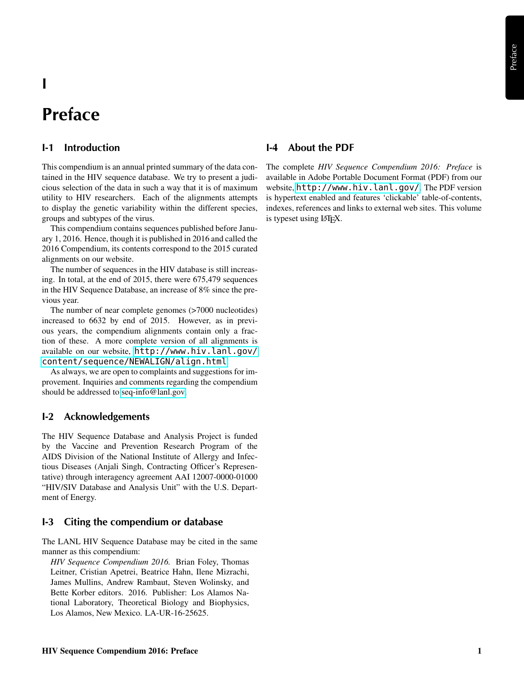# I

# Preface

#### I-1 Introduction

This compendium is an annual printed summary of the data contained in the HIV sequence database. We try to present a judicious selection of the data in such a way that it is of maximum utility to HIV researchers. Each of the alignments attempts to display the genetic variability within the different species, groups and subtypes of the virus.

This compendium contains sequences published before January 1, 2016. Hence, though it is published in 2016 and called the 2016 Compendium, its contents correspond to the 2015 curated alignments on our website.

The number of sequences in the HIV database is still increasing. In total, at the end of 2015, there were 675,479 sequences in the HIV Sequence Database, an increase of 8% since the previous year.

The number of near complete genomes (>7000 nucleotides) increased to 6632 by end of 2015. However, as in previous years, the compendium alignments contain only a fraction of these. A more complete version of all alignments is available on our website, [http://www.hiv.lanl.gov/](http://www.hiv.lanl.gov/content/sequence/NEWALIGN/align.html) [content/sequence/NEWALIGN/align.html](http://www.hiv.lanl.gov/content/sequence/NEWALIGN/align.html)

As always, we are open to complaints and suggestions for improvement. Inquiries and comments regarding the compendium should be addressed to [seq-info@lanl.gov.](mailto:seq-info@lanl.gov)

#### I-2 Acknowledgements

The HIV Sequence Database and Analysis Project is funded by the Vaccine and Prevention Research Program of the AIDS Division of the National Institute of Allergy and Infectious Diseases (Anjali Singh, Contracting Officer's Representative) through interagency agreement AAI 12007-0000-01000 "HIV/SIV Database and Analysis Unit" with the U.S. Department of Energy.

#### I-3 Citing the compendium or database

The LANL HIV Sequence Database may be cited in the same manner as this compendium:

*HIV Sequence Compendium 2016.* Brian Foley, Thomas Leitner, Cristian Apetrei, Beatrice Hahn, Ilene Mizrachi, James Mullins, Andrew Rambaut, Steven Wolinsky, and Bette Korber editors. 2016. Publisher: Los Alamos National Laboratory, Theoretical Biology and Biophysics, Los Alamos, New Mexico. LA-UR-16-25625.

#### I-4 About the PDF

The complete *HIV Sequence Compendium 2016: Preface* is available in Adobe Portable Document Format (PDF) from our website, <http://www.hiv.lanl.gov/>. The PDF version is hypertext enabled and features 'clickable' table-of-contents, indexes, references and links to external web sites. This volume is typeset using LAT<sub>EX</sub>.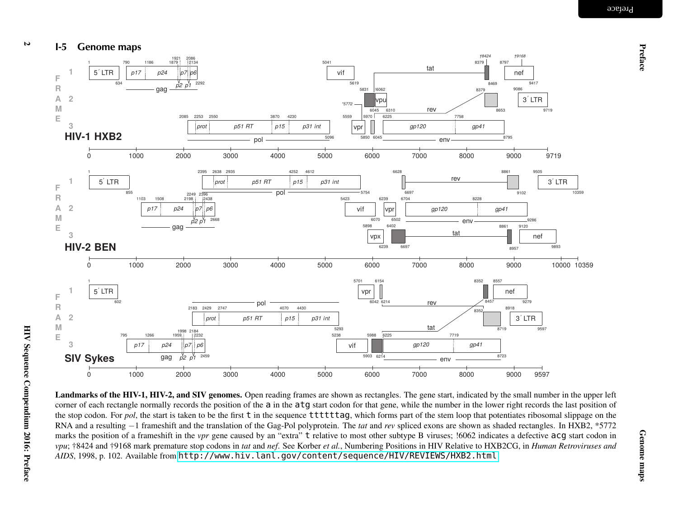





Landmarks of the HIV-1, HIV-2, and SIV genomes. Open reading frames are shown as rectangles. The gene start, indicated by the small number in the upper left corner of each rectangle normally records the position of the a in the atg start codon for that gene, while the number in the lower right records the last position of the stop codon. For *pol*, the start is taken to be the first t in the sequence ttttttag, which forms part of the stem loop that potentiates ribosomal slippage on the RNA and <sup>a</sup> resulting <sup>−</sup><sup>1</sup> frameshift and the translation of the Gag-Pol polyprotein. The *tat* and *rev* spliced exons are shown as shaded rectangles. In HXB2, \*5772 marks the position of a frameshift in the *vpr* gene caused by an "extra" t relative to most other subtype B viruses; !6062 indicates a defective acg start codon in vpu; †8424 and †9168 mark premature stop codons in tat and nef. See Korber et al., Numbering Positions in HIV Relative to HXB2CG, in Human Retroviruses and *AIDS*, 1998, p. 102. Available from <http://www.hiv.lanl.gov/content/sequence/HIV/REVIEWS/HXB2.html>

 $\overline{v}$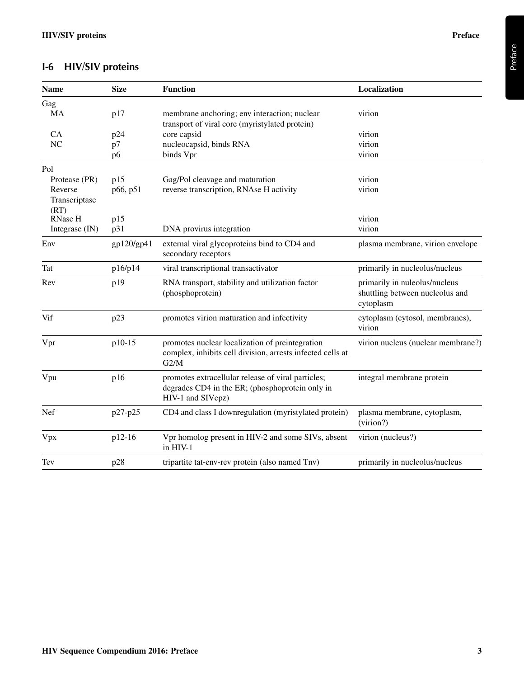## I-6 HIV/SIV proteins

| <b>Name</b>     | <b>Size</b> | <b>Function</b>                                                                                                            | Localization                                                                  |
|-----------------|-------------|----------------------------------------------------------------------------------------------------------------------------|-------------------------------------------------------------------------------|
| Gag             |             |                                                                                                                            |                                                                               |
| <b>MA</b>       | p17         | membrane anchoring; env interaction; nuclear<br>transport of viral core (myristylated protein)                             | virion                                                                        |
| CA              | p24         | core capsid                                                                                                                | virion                                                                        |
| NC              | p7          | nucleocapsid, binds RNA                                                                                                    | virion                                                                        |
|                 | p6          | binds Vpr                                                                                                                  | virion                                                                        |
| Pol             |             |                                                                                                                            |                                                                               |
| Protease (PR)   | p15         | Gag/Pol cleavage and maturation                                                                                            | virion                                                                        |
| Reverse         | p66, p51    | reverse transcription, RNAse H activity                                                                                    | virion                                                                        |
| Transcriptase   |             |                                                                                                                            |                                                                               |
| (RT)<br>RNase H |             |                                                                                                                            | virion                                                                        |
| Integrase (IN)  | p15<br>p31  | DNA provirus integration                                                                                                   | virion                                                                        |
|                 |             |                                                                                                                            |                                                                               |
| Env             | gp120/gp41  | external viral glycoproteins bind to CD4 and<br>secondary receptors                                                        | plasma membrane, virion envelope                                              |
| Tat             | p16/p14     | viral transcriptional transactivator                                                                                       | primarily in nucleolus/nucleus                                                |
| Rev             | p19         | RNA transport, stability and utilization factor<br>(phosphoprotein)                                                        | primarily in nuleolus/nucleus<br>shuttling between nucleolus and<br>cytoplasm |
| Vif             | p23         | promotes virion maturation and infectivity                                                                                 | cytoplasm (cytosol, membranes),<br>virion                                     |
| Vpr             | p10-15      | promotes nuclear localization of preintegration<br>complex, inhibits cell division, arrests infected cells at<br>G2/M      | virion nucleus (nuclear membrane?)                                            |
| Vpu             | p16         | promotes extracellular release of viral particles;<br>degrades CD4 in the ER; (phosphoprotein only in<br>HIV-1 and SIVcpz) | integral membrane protein                                                     |
| Nef             | p27-p25     | CD4 and class I downregulation (myristylated protein)                                                                      | plasma membrane, cytoplasm,<br>(virion?)                                      |
| Vpx             | p12-16      | Vpr homolog present in HIV-2 and some SIVs, absent<br>in HIV-1                                                             | virion (nucleus?)                                                             |
| Tev             | p28         | tripartite tat-env-rev protein (also named Tnv)                                                                            | primarily in nucleolus/nucleus                                                |

Preface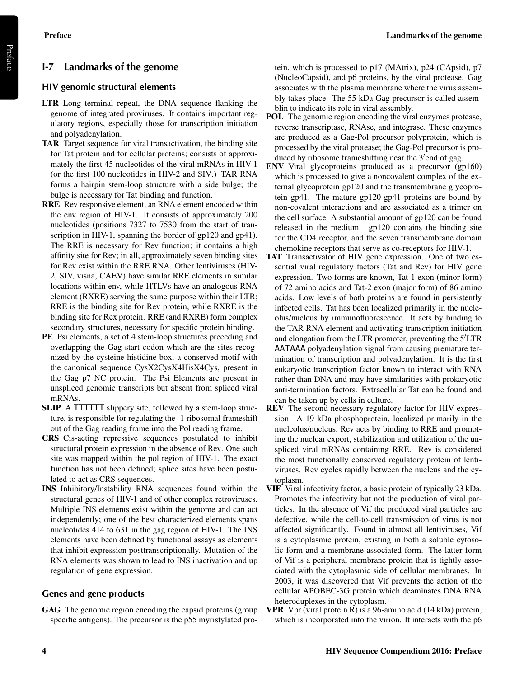Preface

#### I-7 Landmarks of the genome

#### HIV genomic structural elements

- LTR Long terminal repeat, the DNA sequence flanking the genome of integrated proviruses. It contains important regulatory regions, especially those for transcription initiation and polyadenylation.
- TAR Target sequence for viral transactivation, the binding site for Tat protein and for cellular proteins; consists of approximately the first 45 nucleotides of the viral mRNAs in HIV-1 (or the first 100 nucleotides in HIV-2 and SIV.) TAR RNA forms a hairpin stem-loop structure with a side bulge; the bulge is necessary for Tat binding and function.
- RRE Rev responsive element, an RNA element encoded within the env region of HIV-1. It consists of approximately 200 nucleotides (positions 7327 to 7530 from the start of transcription in HIV-1, spanning the border of gp120 and gp41). The RRE is necessary for Rev function; it contains a high affinity site for Rev; in all, approximately seven binding sites for Rev exist within the RRE RNA. Other lentiviruses (HIV-2, SIV, visna, CAEV) have similar RRE elements in similar locations within env, while HTLVs have an analogous RNA element (RXRE) serving the same purpose within their LTR; RRE is the binding site for Rev protein, while RXRE is the binding site for Rex protein. RRE (and RXRE) form complex secondary structures, necessary for specific protein binding.
- PE Psi elements, a set of 4 stem-loop structures preceding and overlapping the Gag start codon which are the sites recognized by the cysteine histidine box, a conserved motif with the canonical sequence CysX2CysX4HisX4Cys, present in the Gag p7 NC protein. The Psi Elements are present in unspliced genomic transcripts but absent from spliced viral mRNAs.
- SLIP A TTTTTT slippery site, followed by a stem-loop structure, is responsible for regulating the -1 ribosomal frameshift out of the Gag reading frame into the Pol reading frame.
- CRS Cis-acting repressive sequences postulated to inhibit structural protein expression in the absence of Rev. One such site was mapped within the pol region of HIV-1. The exact function has not been defined; splice sites have been postulated to act as CRS sequences.
- INS Inhibitory/Instability RNA sequences found within the structural genes of HIV-1 and of other complex retroviruses. Multiple INS elements exist within the genome and can act independently; one of the best characterized elements spans nucleotides 414 to 631 in the gag region of HIV-1. The INS elements have been defined by functional assays as elements that inhibit expression posttranscriptionally. Mutation of the RNA elements was shown to lead to INS inactivation and up regulation of gene expression.

#### Genes and gene products

GAG The genomic region encoding the capsid proteins (group specific antigens). The precursor is the p55 myristylated protein, which is processed to p17 (MAtrix), p24 (CApsid), p7 (NucleoCapsid), and p6 proteins, by the viral protease. Gag associates with the plasma membrane where the virus assembly takes place. The 55 kDa Gag precursor is called assemblin to indicate its role in viral assembly.

- POL The genomic region encoding the viral enzymes protease, reverse transcriptase, RNAse, and integrase. These enzymes are produced as a Gag-Pol precursor polyprotein, which is processed by the viral protease; the Gag-Pol precursor is produced by ribosome frameshifting near the 3'end of gag.
- ENV Viral glycoproteins produced as a precursor (gp160) which is processed to give a noncovalent complex of the external glycoprotein gp120 and the transmembrane glycoprotein gp41. The mature gp120-gp41 proteins are bound by non-covalent interactions and are associated as a trimer on the cell surface. A substantial amount of gp120 can be found released in the medium. gp120 contains the binding site for the CD4 receptor, and the seven transmembrane domain chemokine receptors that serve as co-receptors for HIV-1.
- TAT Transactivator of HIV gene expression. One of two essential viral regulatory factors (Tat and Rev) for HIV gene expression. Two forms are known, Tat-1 exon (minor form) of 72 amino acids and Tat-2 exon (major form) of 86 amino acids. Low levels of both proteins are found in persistently infected cells. Tat has been localized primarily in the nucleolus/nucleus by immunofluorescence. It acts by binding to the TAR RNA element and activating transcription initiation and elongation from the LTR promoter, preventing the  $5^{\prime}$ LTR AATAAA polyadenylation signal from causing premature termination of transcription and polyadenylation. It is the first eukaryotic transcription factor known to interact with RNA rather than DNA and may have similarities with prokaryotic anti-termination factors. Extracellular Tat can be found and can be taken up by cells in culture.
- REV The second necessary regulatory factor for HIV expression. A 19 kDa phosphoprotein, localized primarily in the nucleolus/nucleus, Rev acts by binding to RRE and promoting the nuclear export, stabilization and utilization of the unspliced viral mRNAs containing RRE. Rev is considered the most functionally conserved regulatory protein of lentiviruses. Rev cycles rapidly between the nucleus and the cytoplasm.
- VIF Viral infectivity factor, a basic protein of typically 23 kDa. Promotes the infectivity but not the production of viral particles. In the absence of Vif the produced viral particles are defective, while the cell-to-cell transmission of virus is not affected significantly. Found in almost all lentiviruses, Vif is a cytoplasmic protein, existing in both a soluble cytosolic form and a membrane-associated form. The latter form of Vif is a peripheral membrane protein that is tightly associated with the cytoplasmic side of cellular membranes. In 2003, it was discovered that Vif prevents the action of the cellular APOBEC-3G protein which deaminates DNA:RNA heteroduplexes in the cytoplasm.
- VPR Vpr (viral protein R) is a 96-amino acid (14 kDa) protein, which is incorporated into the virion. It interacts with the p6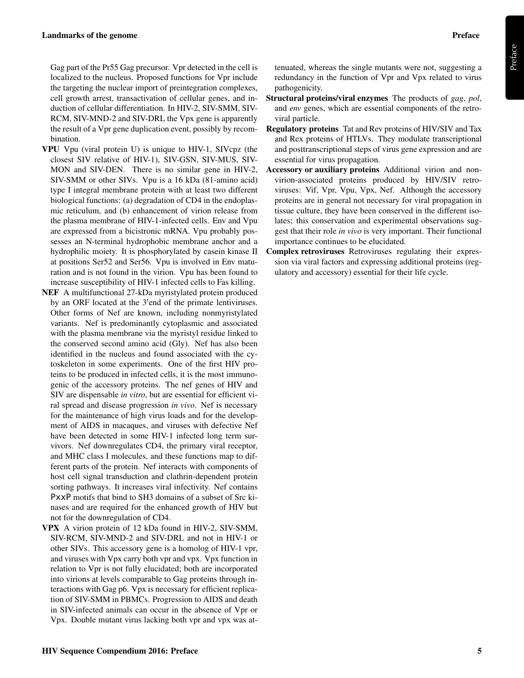Gag part of the Pr55 Gag precursor. Vpr detected in the cell is localized to the nucleus. Proposed functions for Vpr include the targeting the nuclear import of preintegration complexes, cell growth arrest, transactivation of cellular genes, and induction of cellular differentiation. In HIV-2, SIV-SMM, SIV-RCM, SIV-MND-2 and SIV-DRL the Vpx gene is apparently the result of a Vpr gene duplication event, possibly by recombination.

- VPU Vpu (viral protein U) is unique to HIV-1, SIVcpz (the closest SIV relative of HIV-1), SIV-GSN, SIV-MUS, SIV-MON and SIV-DEN. There is no similar gene in HIV-2, SIV-SMM or other SIVs. Vpu is a 16 kDa (81-amino acid) type I integral membrane protein with at least two different biological functions: (a) degradation of CD4 in the endoplasmic reticulum, and (b) enhancement of virion release from the plasma membrane of HIV-1-infected cells. Env and Vpu are expressed from a bicistronic mRNA. Vpu probably possesses an N-terminal hydrophobic membrane anchor and a hydrophilic moiety. It is phosphorylated by casein kinase II at positions Ser52 and Ser56. Vpu is involved in Env maturation and is not found in the virion. Vpu has been found to increase susceptibility of HIV-1 infected cells to Fas killing.
- NEF A multifunctional 27-kDa myristylated protein produced by an ORF located at the 3'end of the primate lentiviruses. Other forms of Nef are known, including nonmyristylated variants. Nef is predominantly cytoplasmic and associated with the plasma membrane via the myristyl residue linked to the conserved second amino acid (Gly). Nef has also been identified in the nucleus and found associated with the cytoskeleton in some experiments. One of the first HIV proteins to be produced in infected cells, it is the most immunogenic of the accessory proteins. The nef genes of HIV and SIV are dispensable *in vitro*, but are essential for efficient viral spread and disease progression *in vivo*. Nef is necessary for the maintenance of high virus loads and for the development of AIDS in macaques, and viruses with defective Nef have been detected in some HIV-1 infected long term survivors. Nef downregulates CD4, the primary viral receptor, and MHC class I molecules, and these functions map to different parts of the protein. Nef interacts with components of host cell signal transduction and clathrin-dependent protein sorting pathways. It increases viral infectivity. Nef contains PxxP motifs that bind to SH3 domains of a subset of Src kinases and are required for the enhanced growth of HIV but not for the downregulation of CD4.
- VPX A virion protein of 12 kDa found in HIV-2, SIV-SMM, SIV-RCM, SIV-MND-2 and SIV-DRL and not in HIV-1 or other SIVs. This accessory gene is a homolog of HIV-1 vpr, and viruses with Vpx carry both vpr and vpx. Vpx function in relation to Vpr is not fully elucidated; both are incorporated into virions at levels comparable to Gag proteins through interactions with Gag p6. Vpx is necessary for efficient replication of SIV-SMM in PBMCs. Progression to AIDS and death in SIV-infected animals can occur in the absence of Vpr or Vpx. Double mutant virus lacking both vpr and vpx was at-

tenuated, whereas the single mutants were not, suggesting a redundancy in the function of Vpr and Vpx related to virus pathogenicity.

- Structural proteins/viral enzymes The products of *gag*, *pol*, and *env* genes, which are essential components of the retroviral particle.
- Regulatory proteins Tat and Rev proteins of HIV/SIV and Tax and Rex proteins of HTLVs. They modulate transcriptional and posttranscriptional steps of virus gene expression and are essential for virus propagation.
- Accessory or auxiliary proteins Additional virion and nonvirion-associated proteins produced by HIV/SIV retroviruses: Vif, Vpr, Vpu, Vpx, Nef. Although the accessory proteins are in general not necessary for viral propagation in tissue culture, they have been conserved in the different isolates; this conservation and experimental observations suggest that their role *in vivo* is very important. Their functional importance continues to be elucidated.
- Complex retroviruses Retroviruses regulating their expression via viral factors and expressing additional proteins (regulatory and accessory) essential for their life cycle.